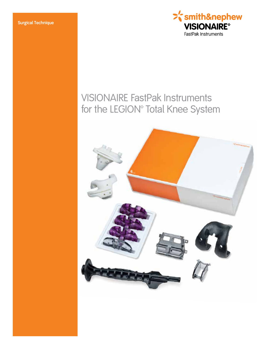

# VISIONAIRE FastPak Instruments for the LEGION<sup>®</sup> Total Knee System

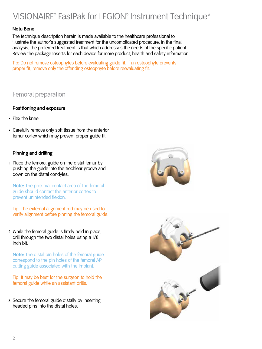## VISIONAIRE<sup>®</sup> FastPak for LEGION<sup>®</sup> Instrument Technique\*

#### **Nota Bene**

The technique description herein is made available to the healthcare professional to illustrate the author's suggested treatment for the uncomplicated procedure. In the final analysis, the preferred treatment is that which addresses the needs of the specific patient. Review the package inserts for each device for more product, health and safety information.

Tip: Do not remove osteophytes before evaluating guide fit. If an osteophyte prevents proper fit, remove only the offending osteophyte before reevaluating fit.

## Femoral preparation

#### **Positioning and exposure**

- Flex the knee.
- Carefully remove only soft tissue from the anterior femur cortex which may prevent proper guide fit.

#### **Pinning and drilling**

1 Place the femoral guide on the distal femur by pushing the guide into the trochlear groove and down on the distal condyles.

 **Note:** The proximal contact area of the femoral guide should contact the anterior cortex to prevent unintended flexion.

 Tip: The external alignment rod may be used to verify alignment before pinning the femoral guide.

2 While the femoral guide is firmly held in place, drill through the two distal holes using a 1/8 inch bit.

**Note:** The distal pin holes of the femoral guide correspond to the pin holes of the femoral AP cutting guide associated with the implant.

 Tip: It may be best for the surgeon to hold the femoral guide while an assistant drills.

3 Secure the femoral guide distally by inserting headed pins into the distal holes.



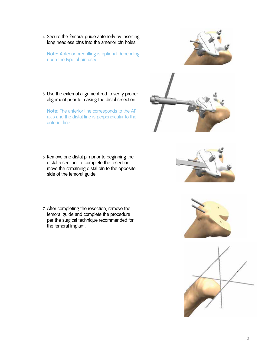4 Secure the femoral guide anteriorly by inserting long headless pins into the anterior pin holes.

**Note:** Anterior predrilling is optional depending upon the type of pin used.



5 Use the external alignment rod to verify proper alignment prior to making the distal resection.

 **Note:** The anterior line corresponds to the AP axis and the distal line is perpendicular to the anterior line.



- 6 Remove one distal pin prior to beginning the distal resection. To complete the resection, move the remaining distal pin to the opposite side of the femoral guide.
- 7 After completing the resection, remove the femoral guide and complete the procedure per the surgical technique recommended for the femoral implant.





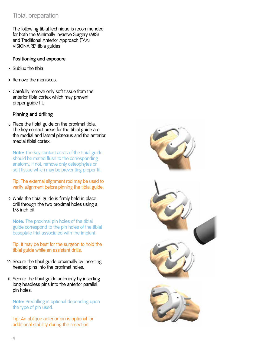## Tibial preparation

 The following tibial technique is recommended for both the Minimally Invasive Surgery (MIS) and Traditional Anterior Approach (TAA) VISIONAIRE<sup>®</sup> tibia guides.

#### **Positioning and exposure**

- Sublux the tibia.
- Remove the meniscus.
- Carefully remove only soft tissue from the anterior tibia cortex which may prevent proper guide fit.

#### **Pinning and drilling**

8 Place the tibial guide on the proximal tibia. The key contact areas for the tibial guide are the medial and lateral plateaus and the anterior medial tibial cortex.

**Note:** The key contact areas of the tibial guide should be mated flush to the corresponding anatomy. If not, remove only osteophytes or soft tissue which may be preventing proper fit.

 Tip: The external alignment rod may be used to verify alignment before pinning the tibial guide.

9 While the tibial guide is firmly held in place, drill through the two proximal holes using a 1/8 inch bit.

 **Note:** The proximal pin holes of the tibial guide correspond to the pin holes of the tibial baseplate trial associated with the implant.

Tip: It may be best for the surgeon to hold the tibial guide while an assistant drills.

- 10 Secure the tibial guide proximally by inserting headed pins into the proximal holes.
- 11 Secure the tibial guide anteriorly by inserting long headless pins into the anterior parallel pin holes.

 **Note:** Predrilling is optional depending upon the type of pin used.

 Tip: An oblique anterior pin is optional for additional stability during the resection.





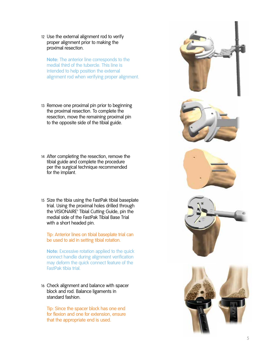12 Use the external alignment rod to verify proper alignment prior to making the proximal resection.

**Note:** The anterior line corresponds to the medial third of the tubercle. This line is intended to help position the external alignment rod when verifying proper alignment.

- 13 Remove one proximal pin prior to beginning the proximal resection. To complete the resection, move the remaining proximal pin to the opposite side of the tibial guide.
- 14 After completing the resection, remove the tibial guide and complete the procedure per the surgical technique recommended for the implant.
- 15 Size the tibia using the FastPak tibial baseplate trial. Using the proximal holes drilled through the VISIONAIRE<sup>®</sup> Tibial Cutting Guide, pin the medial side of the FastPak Tibial Base Trial with a short headed pin.

 Tip: Anterior lines on tibial baseplate trial can be used to aid in setting tibial rotation.

 **Note:** Excessive rotation applied to the quick connect handle during alignment verification may deform the quick connect feature of the FastPak tibia trial.

16 Check alignment and balance with spacer block and rod. Balance ligaments in standard fashion.

 Tip: Since the spacer block has one end for flexion and one for extension, ensure that the appropriate end is used.

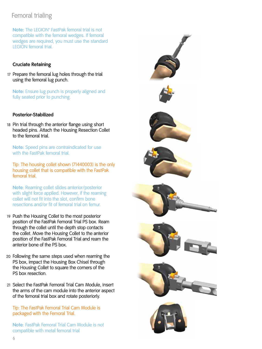## Femoral trialing

**Note:** The LEGION<sup>®</sup> FastPak femoral trial is not compatible with the femoral wedges. If femoral wedges are required, you must use the standard LEGION femoral trial.

### **Cruciate Retaining**

17 Prepare the femoral lug holes through the trial using the femoral lug punch.

 **Note:** Ensure lug punch is properly aligned and fully seated prior to punching.

#### **Posterior-Stabilized**

18 Pin trial through the anterior flange using short headed pins. Attach the Housing Resection Collet to the femoral trial.

 **Note:** Speed pins are contraindicated for use with the FastPak femoral trial.

 Tip: The housing collet shown (71440003) is the only housing collet that is compatible with the FastPak femoral trial.

 **Note**: Reaming collet slides anterior/posterior with slight force applied. However, if the reaming collet will not fit into the slot, confirm bone resections and/or fit of femoral trial on femur.

- 19 Push the Housing Collet to the most posterior position of the FastPak Femoral Trial PS box. Ream through the collet until the depth stop contacts the collet. Move the Housing Collet to the anterior position of the FastPak Femoral Trial and ream the anterior bone of the PS box.
- 20 Following the same steps used when reaming the PS box, impact the Housing Box Chisel through the Housing Collet to square the corners of the PS box resection.
- 21 Select the FastPak Femoral Trial Cam Module, insert the arms of the cam module into the anterior aspect of the femoral trial box and rotate posteriorly.

 Tip: The FastPak Femoral Trial Cam Module is packaged with the Femoral Trial.

 **Note**: FastPak Femoral Trial Cam Module is not compatible with metal femoral trial

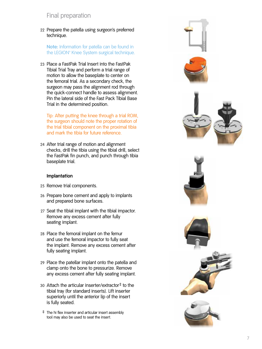### Final preparation

22 Prepare the patella using surgeon's preferred technique.

 **Note:** Information for patella can be found in the LEGION® Knee System surgical technique.

23 Place a FastPak Trial Insert into the FastPak Tibial Trial Tray and perform a trial range of motion to allow the baseplate to center on the femoral trial. As a secondary check, the surgeon may pass the alignment rod through the quick-connect handle to assess alignment. Pin the lateral side of the Fast Pack Tibial Base Trial in the determined position.

 Tip: After putting the knee through a trial ROM, the surgeon should note the proper rotation of the trial tibial component on the proximal tibia and mark the tibia for future reference.

24 After trial range of motion and alignment checks, drill the tibia using the tibial drill, select the FastPak fin punch, and punch through tibia baseplate trial.

#### **Implantation**

- 25 Remove trial components.
- 26 Prepare bone cement and apply to implants and prepared bone surfaces.
- 27 Seat the tibial implant with the tibial impactor. Remove any excess cement after fully seating implant.
- 28 Place the femoral implant on the femur and use the femoral impactor to fully seat the implant. Remove any excess cement after fully seating implant.
- 29 Place the patellar implant onto the patella and clamp onto the bone to pressurize. Remove any excess cement after fully seating implant.
- 30 Attach the articular inserter/extractor ‡ to the tibial tray (for standard inserts). Lift inserter superiorly until the anterior lip of the insert is fully seated.
- ‡ The hi flex inserter and articular insert assembly tool may also be used to seat the insert.